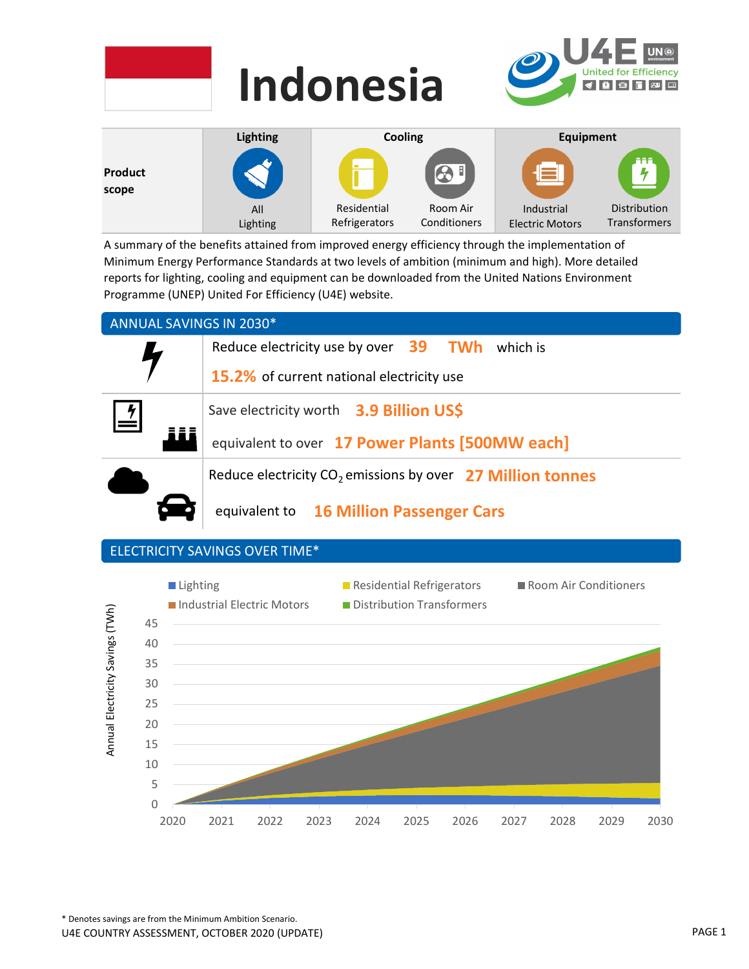|                  | <b>Indonesia</b> |             | U4E<br>UN <sup>@</sup><br>United for Efficiency<br>KÖD DE |                  |                           |
|------------------|------------------|-------------|-----------------------------------------------------------|------------------|---------------------------|
|                  | <b>Lighting</b>  | Cooling     |                                                           | <b>Equipment</b> |                           |
| Product<br>scope |                  |             | $\bigcirc$                                                |                  | aaa<br>$\frac{1}{\gamma}$ |
|                  | All              | Residential | Room Air                                                  | Industrial       | Distribution              |

Conditioners

Electric Motors

Transformers

A summary of the benefits attained from improved energy efficiency through the implementation of Minimum Energy Performance Standards at two levels of ambition (minimum and high). More detailed reports for lighting, cooling and equipment can be downloaded from the United Nations Environment Programme (UNEP) United For Efficiency (U4E) website.

Refrigerators

### ANNUAL SAVINGS IN 2030\*

Lighting



## ELECTRICITY SAVINGS OVER TIME\*

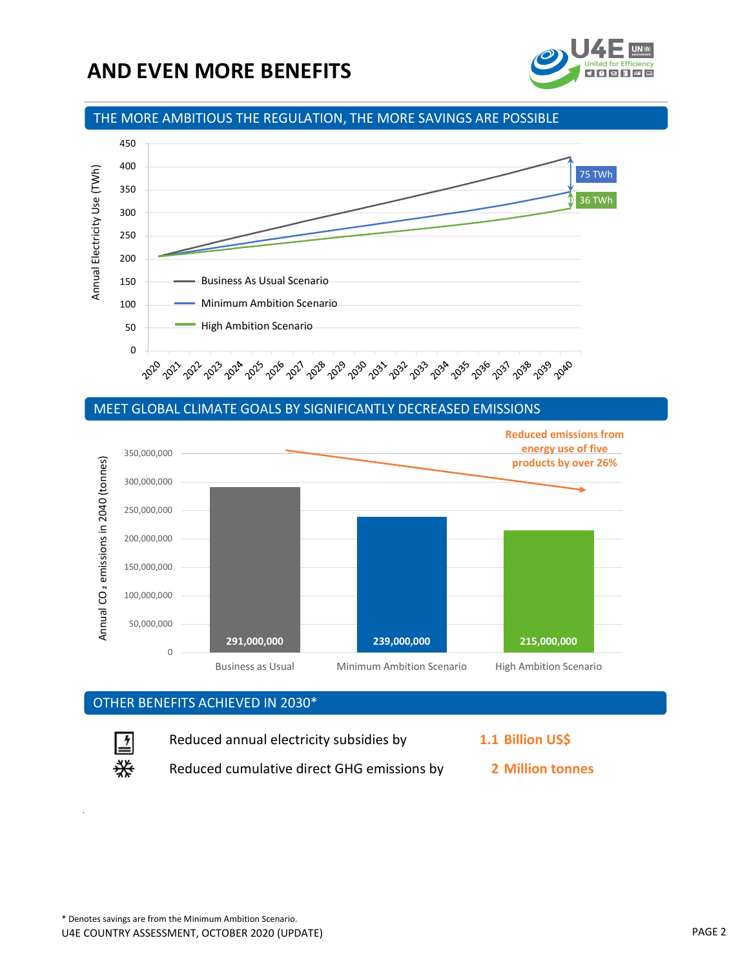# AND EVEN MORE BENEFITS



### THE MORE AMBITIOUS THE REGULATION, THE MORE SAVINGS ARE POSSIBLE



#### MEET GLOBAL CLIMATE GOALS BY SIGNIFICANTLY DECREASED EMISSIONS



### OTHER BENEFITS ACHIEVED IN 2030\*



Reduced annual electricity subsidies by 1.1 Billion US\$

 $\frac{1}{2}$  Reduced cumulative direct GHG emissions by 2 Million tonnes

- -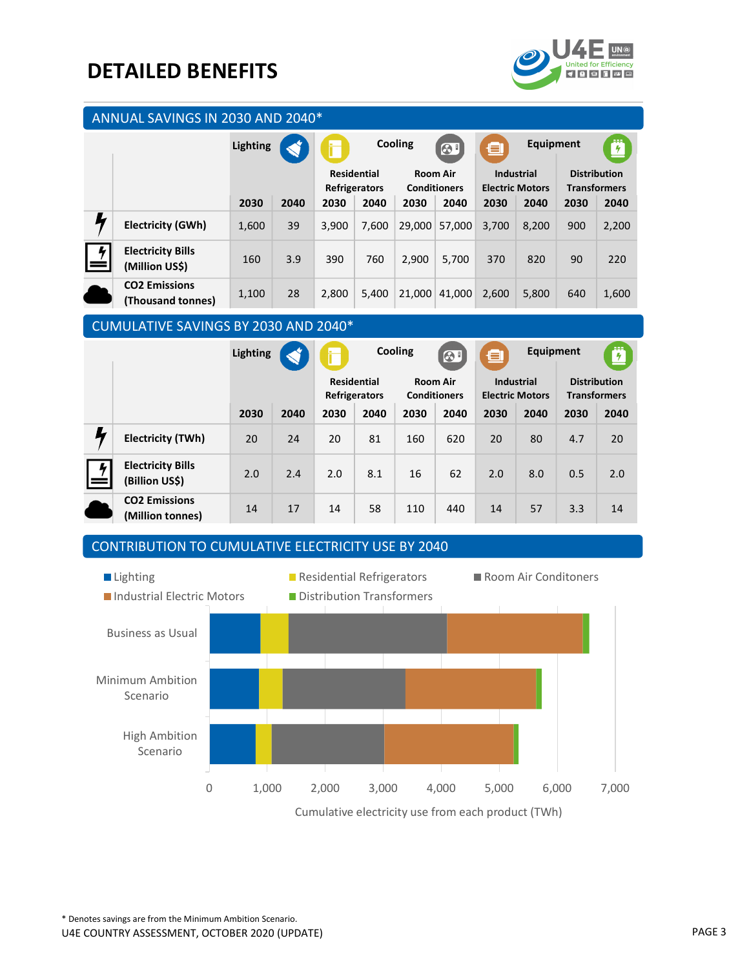# DETAILED BENEFITS



|                           | ANNUAL SAVINGS IN 2030 AND 2040*           |          |      |                                     |       |                                        |                       |                                             |       |                                            |       |  |
|---------------------------|--------------------------------------------|----------|------|-------------------------------------|-------|----------------------------------------|-----------------------|---------------------------------------------|-------|--------------------------------------------|-------|--|
|                           |                                            | Lighting |      | Cooling<br>F                        |       | $\odot$                                | <b>Equipment</b><br>且 |                                             | Ë     |                                            |       |  |
|                           |                                            |          |      | <b>Residential</b><br>Refrigerators |       | <b>Room Air</b><br><b>Conditioners</b> |                       | <b>Industrial</b><br><b>Electric Motors</b> |       | <b>Distribution</b><br><b>Transformers</b> |       |  |
|                           |                                            | 2030     | 2040 | 2030                                | 2040  | 2030                                   | 2040                  | 2030                                        | 2040  | 2030                                       | 2040  |  |
|                           | <b>Electricity (GWh)</b>                   | 1,600    | 39   | 3.900                               | 7,600 | 29,000                                 | 57.000                | 3,700                                       | 8,200 | 900                                        | 2,200 |  |
| $\mid \frac{1}{2}$<br>$=$ | <b>Electricity Bills</b><br>(Million US\$) | 160      | 3.9  | 390                                 | 760   | 2.900                                  | 5.700                 | 370                                         | 820   | 90                                         | 220   |  |
|                           | <b>CO2 Emissions</b><br>(Thousand tonnes)  | 1,100    | 28   | 2,800                               | 5,400 | 21,000                                 | 41,000                | 2,600                                       | 5,800 | 640                                        | 1,600 |  |

### CUMULATIVE SAVINGS BY 2030 AND 2040\*

|                                            | <b>Lighting</b> |      | Æ                                   |      | Cooling<br>$\odot$                     |      | Equipment<br>o                              |      | Ö                                          |      |
|--------------------------------------------|-----------------|------|-------------------------------------|------|----------------------------------------|------|---------------------------------------------|------|--------------------------------------------|------|
|                                            |                 |      | <b>Residential</b><br>Refrigerators |      | <b>Room Air</b><br><b>Conditioners</b> |      | <b>Industrial</b><br><b>Electric Motors</b> |      | <b>Distribution</b><br><b>Transformers</b> |      |
|                                            | 2030            | 2040 | 2030                                | 2040 | 2030                                   | 2040 | 2030                                        | 2040 | 2030                                       | 2040 |
| <b>Electricity (TWh)</b>                   | 20              | 24   | 20                                  | 81   | 160                                    | 620  | 20                                          | 80   | 4.7                                        | 20   |
| <b>Electricity Bills</b><br>(Billion US\$) | 2.0             | 2.4  | 2.0                                 | 8.1  | 16                                     | 62   | 2.0                                         | 8.0  | 0.5                                        | 2.0  |
| <b>CO2 Emissions</b><br>(Million tonnes)   | 14              | 17   | 14                                  | 58   | 110                                    | 440  | 14                                          | 57   | 3.3                                        | 14   |

## CONTRIBUTION TO CUMULATIVE ELECTRICITY USE BY 2040